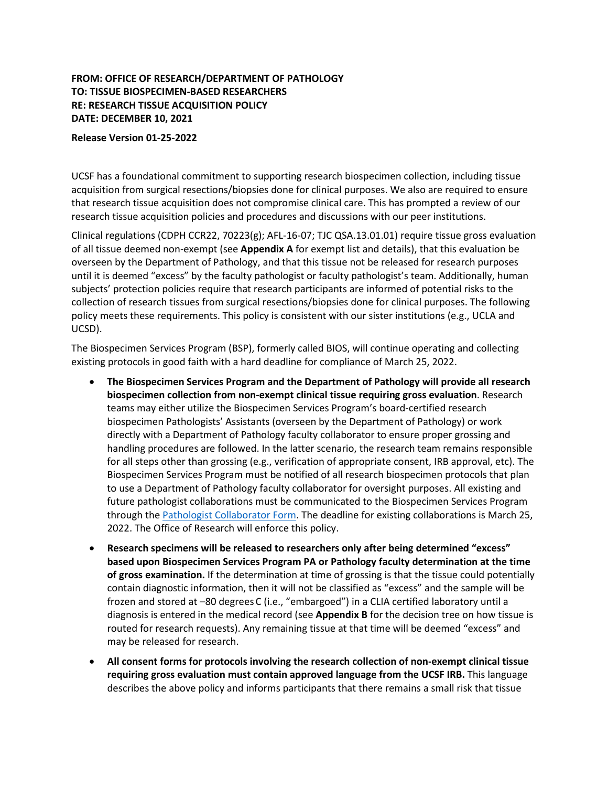# **FROM: OFFICE OF RESEARCH/DEPARTMENT OF PATHOLOGY TO: TISSUE BIOSPECIMEN-BASED RESEARCHERS RE: RESEARCH TISSUE ACQUISITION POLICY DATE: DECEMBER 10, 2021**

#### **Release Version 01-25-2022**

UCSF has a foundational commitment to supporting research biospecimen collection, including tissue acquisition from surgical resections/biopsies done for clinical purposes. We also are required to ensure that research tissue acquisition does not compromise clinical care. This has prompted a review of our research tissue acquisition policies and procedures and discussions with our peer institutions.

Clinical regulations (CDPH CCR22, 70223(g); AFL-16-07; TJC QSA.13.01.01) require tissue gross evaluation of all tissue deemed non-exempt (see **Appendix A** for exempt list and details), that this evaluation be overseen by the Department of Pathology, and that this tissue not be released for research purposes until it is deemed "excess" by the faculty pathologist or faculty pathologist's team. Additionally, human subjects' protection policies require that research participants are informed of potential risks to the collection of research tissues from surgical resections/biopsies done for clinical purposes. The following policy meets these requirements. This policy is consistent with our sister institutions (e.g., UCLA and UCSD).

The Biospecimen Services Program (BSP), formerly called BIOS, will continue operating and collecting existing protocols in good faith with a hard deadline for compliance of March 25, 2022.

- **The Biospecimen Services Program and the Department of Pathology will provide all research biospecimen collection from non-exempt clinical tissue requiring gross evaluation**. Research teams may either utilize the Biospecimen Services Program's board-certified research biospecimen Pathologists' Assistants (overseen by the Department of Pathology) or work directly with a Department of Pathology faculty collaborator to ensure proper grossing and handling procedures are followed. In the latter scenario, the research team remains responsible for all steps other than grossing (e.g., verification of appropriate consent, IRB approval, etc). The Biospecimen Services Program must be notified of all research biospecimen protocols that plan to use a Department of Pathology faculty collaborator for oversight purposes. All existing and future pathologist collaborations must be communicated to the Biospecimen Services Program through th[e Pathologist Collaborator Form.](https://ucsf.co1.qualtrics.com/jfe/form/SV_4MCyAo9aOsTMoMC) The deadline for existing collaborations is March 25, 2022. The Office of Research will enforce this policy.
- **Research specimens will be released to researchers only after being determined "excess" based upon Biospecimen Services Program PA or Pathology faculty determination at the time of gross examination.** If the determination at time of grossing is that the tissue could potentially contain diagnostic information, then it will not be classified as "excess" and the sample will be frozen and stored at –80 degrees C (i.e., "embargoed") in a CLIA certified laboratory until a diagnosis is entered in the medical record (see **Appendix B** for the decision tree on how tissue is routed for research requests). Any remaining tissue at that time will be deemed "excess" and may be released for research.
- **All consent forms for protocols involving the research collection of non-exempt clinical tissue requiring gross evaluation must contain approved language from the UCSF IRB.** This language describes the above policy and informs participants that there remains a small risk that tissue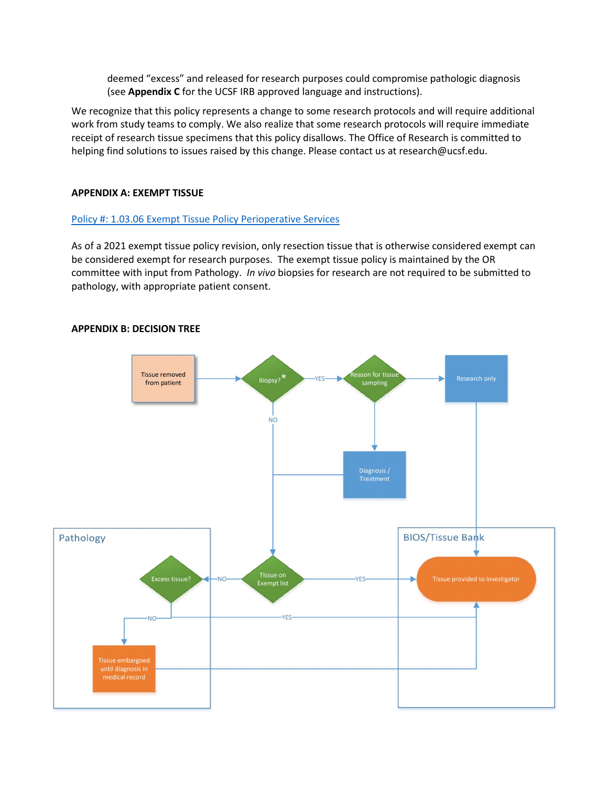deemed "excess" and released for research purposes could compromise pathologic diagnosis (see **Appendix C** for the UCSF IRB approved language and instructions).

We recognize that this policy represents a change to some research protocols and will require additional work from study teams to comply. We also realize that some research protocols will require immediate receipt of research tissue specimens that this policy disallows. The Office of Research is committed to helping find solutions to issues raised by this change. Please contact us at research@ucsf.edu.

## **APPENDIX A: EXEMPT TISSUE**

## [Policy #: 1.03.06 Exempt Tissue Policy Perioperative Services](https://ucsfonline.sharepoint.com/sites/ucsfpolicies/PeriOperative%20Services/Forms/AllItems.aspx?id=%2Fsites%2Fucsfpolicies%2FPeriOperative%20Services%2FOperating%20Rooms%20%28ML%2CMZ%2CMB%2COSC%29%2FExempt%20Tissue%20Policy%2Epdf&parent=%2Fsites%2Fucsfpolicies%2FPeriOperative%20Services%2FOperating%20Rooms%20%28ML%2CMZ%2CMB%2COSC%29)

As of a 2021 exempt tissue policy revision, only resection tissue that is otherwise considered exempt can be considered exempt for research purposes. The exempt tissue policy is maintained by the OR committee with input from Pathology. *In vivo* biopsies for research are not required to be submitted to pathology, with appropriate patient consent.

### **APPENDIX B: DECISION TREE**

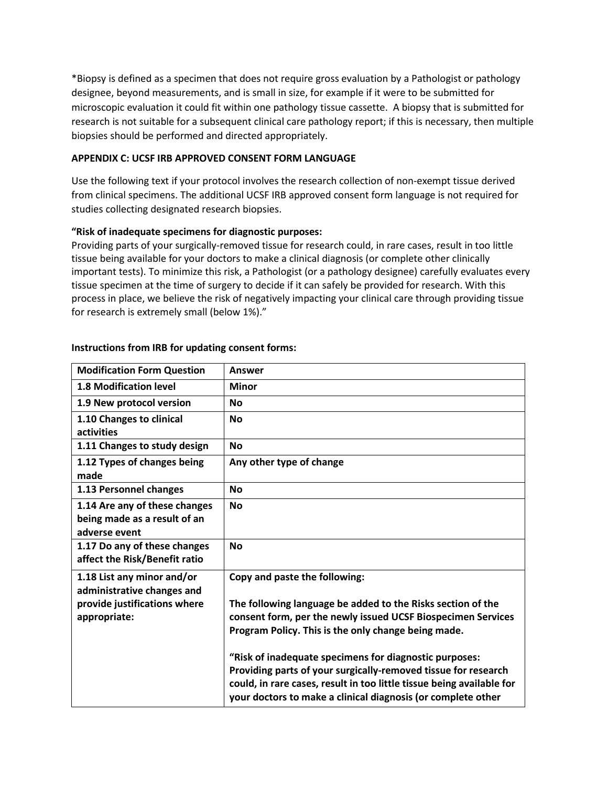\*Biopsy is defined as a specimen that does not require gross evaluation by a Pathologist or pathology designee, beyond measurements, and is small in size, for example if it were to be submitted for microscopic evaluation it could fit within one pathology tissue cassette. A biopsy that is submitted for research is not suitable for a subsequent clinical care pathology report; if this is necessary, then multiple biopsies should be performed and directed appropriately.

## **APPENDIX C: UCSF IRB APPROVED CONSENT FORM LANGUAGE**

Use the following text if your protocol involves the research collection of non-exempt tissue derived from clinical specimens. The additional UCSF IRB approved consent form language is not required for studies collecting designated research biopsies.

## **"Risk of inadequate specimens for diagnostic purposes:**

Providing parts of your surgically-removed tissue for research could, in rare cases, result in too little tissue being available for your doctors to make a clinical diagnosis (or complete other clinically important tests). To minimize this risk, a Pathologist (or a pathology designee) carefully evaluates every tissue specimen at the time of surgery to decide if it can safely be provided for research. With this process in place, we believe the risk of negatively impacting your clinical care through providing tissue for research is extremely small (below 1%)."

| <b>Modification Form Question</b>                                                                        | <b>Answer</b>                                                                                                                                                                                                                                                                                                                                                                                                                                                                            |
|----------------------------------------------------------------------------------------------------------|------------------------------------------------------------------------------------------------------------------------------------------------------------------------------------------------------------------------------------------------------------------------------------------------------------------------------------------------------------------------------------------------------------------------------------------------------------------------------------------|
| <b>1.8 Modification level</b>                                                                            | <b>Minor</b>                                                                                                                                                                                                                                                                                                                                                                                                                                                                             |
| 1.9 New protocol version                                                                                 | <b>No</b>                                                                                                                                                                                                                                                                                                                                                                                                                                                                                |
| 1.10 Changes to clinical<br>activities                                                                   | <b>No</b>                                                                                                                                                                                                                                                                                                                                                                                                                                                                                |
| 1.11 Changes to study design                                                                             | <b>No</b>                                                                                                                                                                                                                                                                                                                                                                                                                                                                                |
| 1.12 Types of changes being<br>made                                                                      | Any other type of change                                                                                                                                                                                                                                                                                                                                                                                                                                                                 |
| 1.13 Personnel changes                                                                                   | <b>No</b>                                                                                                                                                                                                                                                                                                                                                                                                                                                                                |
| 1.14 Are any of these changes<br>being made as a result of an<br>adverse event                           | <b>No</b>                                                                                                                                                                                                                                                                                                                                                                                                                                                                                |
| 1.17 Do any of these changes<br>affect the Risk/Benefit ratio                                            | <b>No</b>                                                                                                                                                                                                                                                                                                                                                                                                                                                                                |
| 1.18 List any minor and/or<br>administrative changes and<br>provide justifications where<br>appropriate: | Copy and paste the following:<br>The following language be added to the Risks section of the<br>consent form, per the newly issued UCSF Biospecimen Services<br>Program Policy. This is the only change being made.<br>"Risk of inadequate specimens for diagnostic purposes:<br>Providing parts of your surgically-removed tissue for research<br>could, in rare cases, result in too little tissue being available for<br>your doctors to make a clinical diagnosis (or complete other |

## **Instructions from IRB for updating consent forms:**